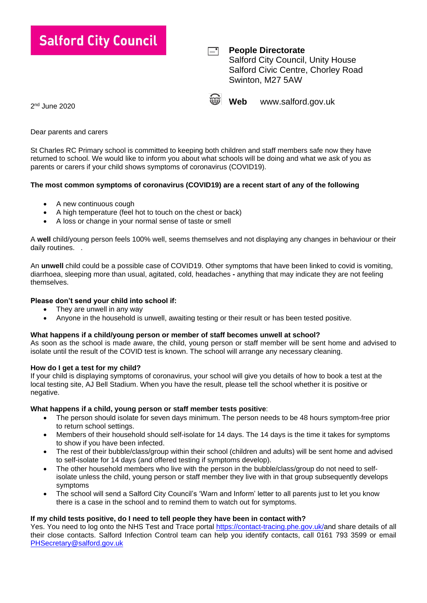| ialford City Council          | $=$  | <b>People Directorate</b><br><b>Salford City Council, Unity House</b><br>Salford Civic Centre, Chorley Road<br>Swinton, M27 5AW |                    |
|-------------------------------|------|---------------------------------------------------------------------------------------------------------------------------------|--------------------|
| $\mathbf{u}$ and $\mathbf{v}$ | SS A | Web                                                                                                                             | www.salford.gov.uk |

2 nd June 2020

Dear parents and carers

St Charles RC Primary school is committed to keeping both children and staff members safe now they have returned to school. We would like to inform you about what schools will be doing and what we ask of you as parents or carers if your child shows symptoms of coronavirus (COVID19).

# **The most common symptoms of coronavirus (COVID19) are a recent start of any of the following**

- A new continuous cough
- A high temperature (feel hot to touch on the chest or back)
- A loss or change in your normal sense of taste or smell

A **well** child/young person feels 100% well, seems themselves and not displaying any changes in behaviour or their daily routines. .

An **unwell** child could be a possible case of COVID19. Other symptoms that have been linked to covid is vomiting, diarrhoea, sleeping more than usual, agitated, cold, headaches **-** anything that may indicate they are not feeling themselves.

## **Please don't send your child into school if:**

- They are unwell in any way
- Anyone in the household is unwell, awaiting testing or their result or has been tested positive.

## **What happens if a child/young person or member of staff becomes unwell at school?**

As soon as the school is made aware, the child, young person or staff member will be sent home and advised to isolate until the result of the COVID test is known. The school will arrange any necessary cleaning.

## **How do I get a test for my child?**

If your child is displaying symptoms of coronavirus, your school will give you details of how to book a test at the local testing site, AJ Bell Stadium. When you have the result, please tell the school whether it is positive or negative.

### **What happens if a child, young person or staff member tests positive**:

- The person should isolate for seven days minimum. The person needs to be 48 hours symptom-free prior to return school settings.
- Members of their household should self-isolate for 14 days. The 14 days is the time it takes for symptoms to show if you have been infected.
- The rest of their bubble/class/group within their school (children and adults) will be sent home and advised to self-isolate for 14 days (and offered testing if symptoms develop).
- The other household members who live with the person in the bubble/class/group do not need to selfisolate unless the child, young person or staff member they live with in that group subsequently develops symptoms
- The school will send a Salford City Council's 'Warn and Inform' letter to all parents just to let you know there is a case in the school and to remind them to watch out for symptoms.

## **If my child tests positive, do I need to tell people they have been in contact with?**

Yes. You need to log onto the NHS Test and Trace portal [https://contact-tracing.phe.gov.uk/a](https://contact-tracing.phe.gov.uk/)nd share details of all their close contacts. Salford Infection Control team can help you identify contacts, call 0161 793 3599 or email [PHSecretary@salford.gov.uk](mailto:PHSecretary@salford.gov.uk)